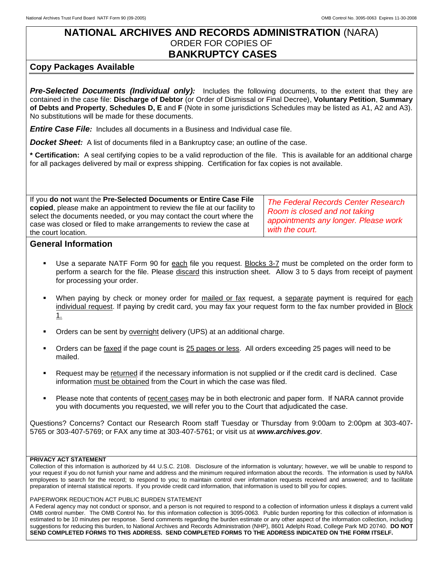## **NATIONAL ARCHIVES AND RECORDS ADMINISTRATION** (NARA) ORDER FOR COPIES OF **BANKRUPTCY CASES**

## **Copy Packages Available**

*Pre-Selected Documents (Individual only):* Includes the following documents, to the extent that they are contained in the case file: **Discharge of Debtor** (or Order of Dismissal or Final Decree), **Voluntary Petition**, **Summary of Debts and Property**, **Schedules D, E** and **F** (Note in some jurisdictions Schedules may be listed as A1, A2 and A3). No substitutions will be made for these documents.

*Entire Case File:* Includes all documents in a Business and Individual case file.

**Docket Sheet**: A list of documents filed in a Bankruptcy case; an outline of the case.

**\* Certification:** A seal certifying copies to be a valid reproduction of the file. This is available for an additional charge for all packages delivered by mail or express shipping. Certification for fax copies is not available.

If you **do not** want the **Pre-Selected Documents or Entire Case File copied**, please make an appointment to review the file at our facility to select the documents needed, or you may contact the court where the case was closed or filed to make arrangements to review the case at the court location. *The Federal Records Center Research Room is closed and not taking appointments any longer. Please work with the court.*

## **General Information**

- Use a separate NATF Form 90 for each file you request. Blocks 3-7 must be completed on the order form to perform a search for the file. Please discard this instruction sheet. Allow 3 to 5 days from receipt of payment for processing your order.
- When paying by check or money order for mailed or fax request, a separate payment is required for each individual request. If paying by credit card, you may fax your request form to the fax number provided in Block 1.
- Orders can be sent by overnight delivery (UPS) at an additional charge.
- Orders can be faxed if the page count is 25 pages or less. All orders exceeding 25 pages will need to be mailed.
- Request may be returned if the necessary information is not supplied or if the credit card is declined. Case information must be obtained from the Court in which the case was filed.
- Please note that contents of recent cases may be in both electronic and paper form. If NARA cannot provide you with documents you requested, we will refer you to the Court that adjudicated the case.

Questions? Concerns? Contact our Research Room staff Tuesday or Thursday from 9:00am to 2:00pm at 303-407- 5765 or 303-407-5769; or FAX any time at 303-407-5761; or visit us at *www.archives.gov*.

## **PRIVACY ACT STATEMENT**

Collection of this information is authorized by 44 U.S.C. 2108. Disclosure of the information is voluntary; however, we will be unable to respond to your request if you do not furnish your name and address and the minimum required information about the records. The information is used by NARA employees to search for the record; to respond to you; to maintain control over information requests received and answered; and to facilitate preparation of internal statistical reports. If you provide credit card information, that information is used to bill you for copies.

PAPERWORK REDUCTION ACT PUBLIC BURDEN STATEMENT

A Federal agency may not conduct or sponsor, and a person is not required to respond to a collection of information unless it displays a current valid OMB control number. The OMB Control No. for this information collection is 3095-0063. Public burden reporting for this collection of information is estimated to be 10 minutes per response. Send comments regarding the burden estimate or any other aspect of the information collection, including suggestions for reducing this burden, to National Archives and Records Administration (NHP), 8601 Adelphi Road, College Park MD 20740. **DO NOT SEND COMPLETED FORMS TO THIS ADDRESS. SEND COMPLETED FORMS TO THE ADDRESS INDICATED ON THE FORM ITSELF.**